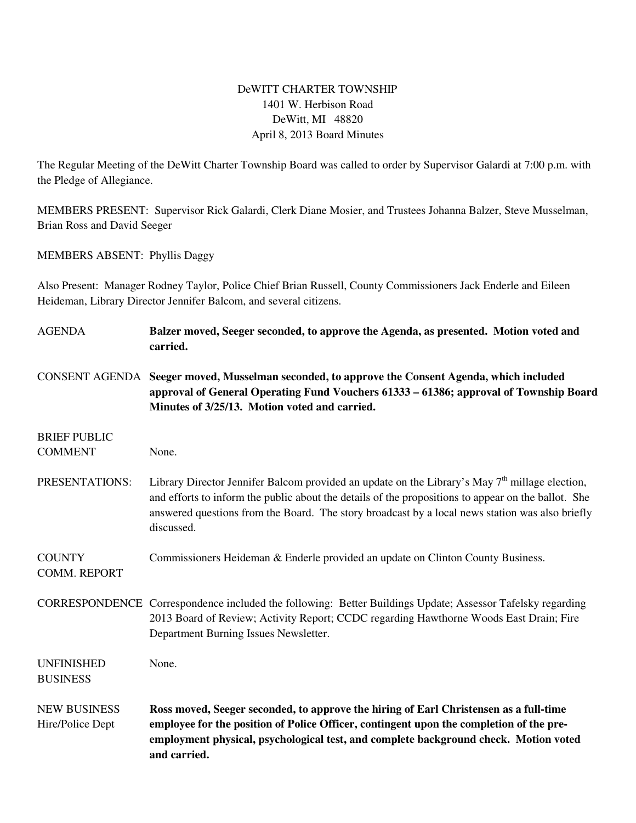## DeWITT CHARTER TOWNSHIP 1401 W. Herbison Road DeWitt, MI 48820 April 8, 2013 Board Minutes

The Regular Meeting of the DeWitt Charter Township Board was called to order by Supervisor Galardi at 7:00 p.m. with the Pledge of Allegiance.

MEMBERS PRESENT: Supervisor Rick Galardi, Clerk Diane Mosier, and Trustees Johanna Balzer, Steve Musselman, Brian Ross and David Seeger

MEMBERS ABSENT: Phyllis Daggy

Also Present: Manager Rodney Taylor, Police Chief Brian Russell, County Commissioners Jack Enderle and Eileen Heideman, Library Director Jennifer Balcom, and several citizens.

| <b>AGENDA</b>                           | Balzer moved, Seeger seconded, to approve the Agenda, as presented. Motion voted and<br>carried.                                                                                                                                                                                                                                   |
|-----------------------------------------|------------------------------------------------------------------------------------------------------------------------------------------------------------------------------------------------------------------------------------------------------------------------------------------------------------------------------------|
|                                         | CONSENT AGENDA Seeger moved, Musselman seconded, to approve the Consent Agenda, which included<br>approval of General Operating Fund Vouchers 61333 – 61386; approval of Township Board<br>Minutes of 3/25/13. Motion voted and carried.                                                                                           |
| <b>BRIEF PUBLIC</b>                     |                                                                                                                                                                                                                                                                                                                                    |
| <b>COMMENT</b>                          | None.                                                                                                                                                                                                                                                                                                                              |
| PRESENTATIONS:                          | Library Director Jennifer Balcom provided an update on the Library's May 7 <sup>th</sup> millage election,<br>and efforts to inform the public about the details of the propositions to appear on the ballot. She<br>answered questions from the Board. The story broadcast by a local news station was also briefly<br>discussed. |
| <b>COUNTY</b><br><b>COMM. REPORT</b>    | Commissioners Heideman & Enderle provided an update on Clinton County Business.                                                                                                                                                                                                                                                    |
|                                         | CORRESPONDENCE Correspondence included the following: Better Buildings Update; Assessor Tafelsky regarding<br>2013 Board of Review; Activity Report; CCDC regarding Hawthorne Woods East Drain; Fire<br>Department Burning Issues Newsletter.                                                                                      |
| <b>UNFINISHED</b><br><b>BUSINESS</b>    | None.                                                                                                                                                                                                                                                                                                                              |
| <b>NEW BUSINESS</b><br>Hire/Police Dept | Ross moved, Seeger seconded, to approve the hiring of Earl Christensen as a full-time<br>employee for the position of Police Officer, contingent upon the completion of the pre-<br>employment physical, psychological test, and complete background check. Motion voted<br>and carried.                                           |